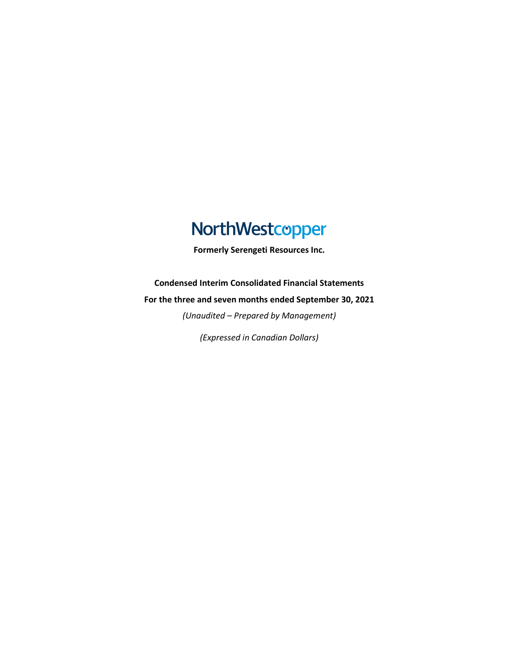# NorthWestcopper

**Formerly Serengeti Resources Inc.**

**Condensed Interim Consolidated Financial Statements**

**For the three and seven months ended September 30, 2021**

*(Unaudited – Prepared by Management)*

*(Expressed in Canadian Dollars)*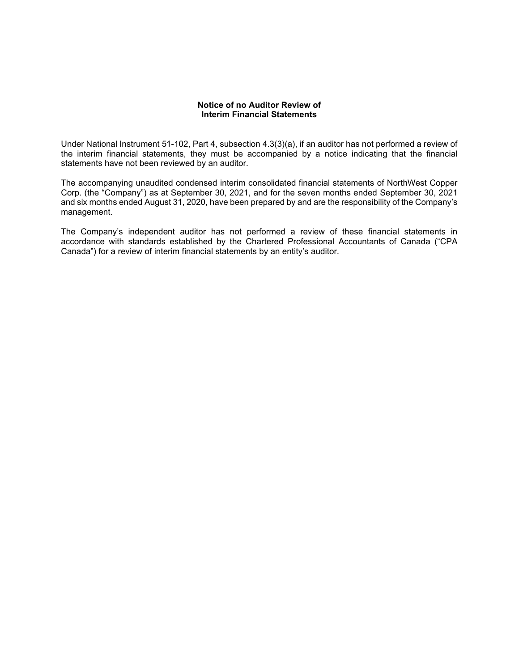# **Notice of no Auditor Review of Interim Financial Statements**

Under National Instrument 51-102, Part 4, subsection 4.3(3)(a), if an auditor has not performed a review of the interim financial statements, they must be accompanied by a notice indicating that the financial statements have not been reviewed by an auditor.

The accompanying unaudited condensed interim consolidated financial statements of NorthWest Copper Corp. (the "Company") as at September 30, 2021, and for the seven months ended September 30, 2021 and six months ended August 31, 2020, have been prepared by and are the responsibility of the Company's management.

The Company's independent auditor has not performed a review of these financial statements in accordance with standards established by the Chartered Professional Accountants of Canada ("CPA Canada") for a review of interim financial statements by an entity's auditor.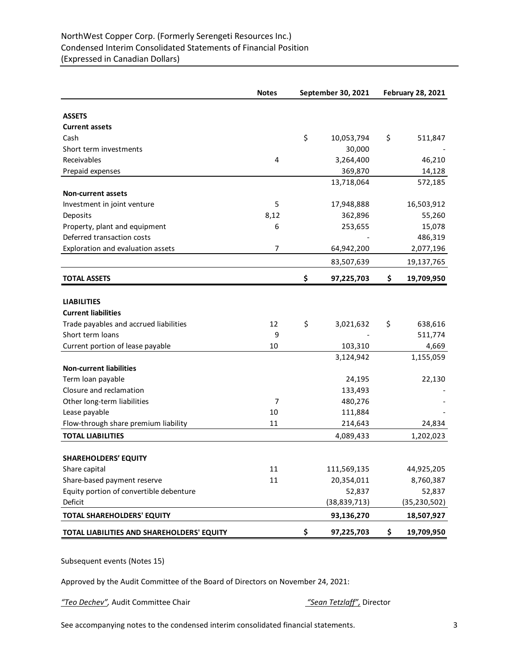# NorthWest Copper Corp. (Formerly Serengeti Resources Inc.) Condensed Interim Consolidated Statements of Financial Position (Expressed in Canadian Dollars)

|                                            | <b>Notes</b>   | September 30, 2021 |                | <b>February 28, 2021</b> |                |  |
|--------------------------------------------|----------------|--------------------|----------------|--------------------------|----------------|--|
|                                            |                |                    |                |                          |                |  |
| <b>ASSETS</b>                              |                |                    |                |                          |                |  |
| <b>Current assets</b>                      |                |                    |                |                          |                |  |
| Cash                                       |                | \$                 | 10,053,794     | \$                       | 511,847        |  |
| Short term investments                     |                |                    | 30,000         |                          |                |  |
| Receivables                                | 4              |                    | 3,264,400      |                          | 46,210         |  |
| Prepaid expenses                           |                |                    | 369,870        |                          | 14,128         |  |
|                                            |                |                    | 13,718,064     |                          | 572,185        |  |
| <b>Non-current assets</b>                  |                |                    |                |                          |                |  |
| Investment in joint venture                | 5              |                    | 17,948,888     |                          | 16,503,912     |  |
| Deposits                                   | 8,12           |                    | 362,896        |                          | 55,260         |  |
| Property, plant and equipment              | 6              |                    | 253,655        |                          | 15,078         |  |
| Deferred transaction costs                 |                |                    |                |                          | 486,319        |  |
| Exploration and evaluation assets          | $\overline{7}$ |                    | 64,942,200     |                          | 2,077,196      |  |
|                                            |                |                    | 83,507,639     |                          | 19,137,765     |  |
| <b>TOTAL ASSETS</b>                        |                | \$                 | 97,225,703     | \$                       | 19,709,950     |  |
|                                            |                |                    |                |                          |                |  |
| <b>LIABILITIES</b>                         |                |                    |                |                          |                |  |
| <b>Current liabilities</b>                 |                |                    |                |                          |                |  |
| Trade payables and accrued liabilities     | 12             | \$                 | 3,021,632      | \$                       | 638,616        |  |
| Short term loans                           | 9              |                    |                |                          | 511,774        |  |
| Current portion of lease payable           | 10             |                    | 103,310        |                          | 4,669          |  |
|                                            |                |                    | 3,124,942      |                          | 1,155,059      |  |
| <b>Non-current liabilities</b>             |                |                    |                |                          |                |  |
| Term loan payable                          |                |                    | 24,195         |                          | 22,130         |  |
| Closure and reclamation                    |                |                    | 133,493        |                          |                |  |
| Other long-term liabilities                | $\overline{7}$ |                    | 480,276        |                          |                |  |
| Lease payable                              | 10             |                    | 111,884        |                          |                |  |
| Flow-through share premium liability       | 11             |                    | 214,643        |                          | 24,834         |  |
| <b>TOTAL LIABILITIES</b>                   |                |                    | 4,089,433      |                          | 1,202,023      |  |
|                                            |                |                    |                |                          |                |  |
| <b>SHAREHOLDERS' EQUITY</b>                |                |                    |                |                          |                |  |
| Share capital                              | 11             |                    | 111,569,135    |                          | 44,925,205     |  |
| Share-based payment reserve                | 11             |                    | 20,354,011     |                          | 8,760,387      |  |
| Equity portion of convertible debenture    |                |                    | 52,837         |                          | 52,837         |  |
| Deficit                                    |                |                    | (38, 839, 713) |                          | (35, 230, 502) |  |
| <b>TOTAL SHAREHOLDERS' EQUITY</b>          |                |                    | 93,136,270     |                          | 18,507,927     |  |
| TOTAL LIABILITIES AND SHAREHOLDERS' EQUITY |                | \$                 | 97,225,703     | \$                       | 19,709,950     |  |

Subsequent events (Notes 15)

Approved by the Audit Committee of the Board of Directors on November 24, 2021:

*"Teo Dechev",* Audit Committee Chair *"Sean Tetzlaff",* Director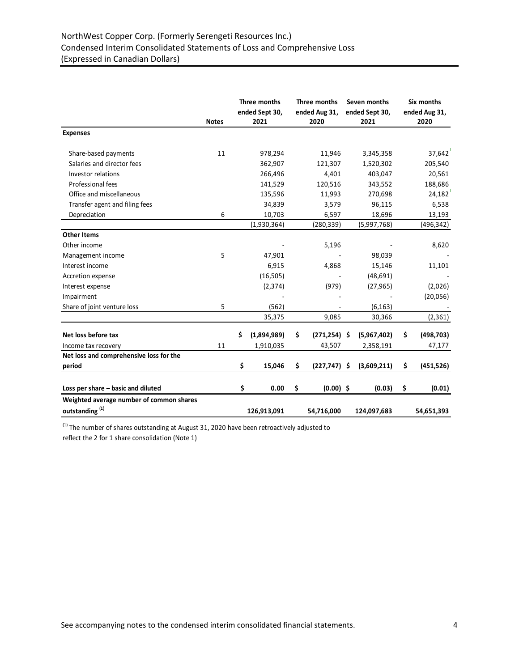# NorthWest Copper Corp. (Formerly Serengeti Resources Inc.) Condensed Interim Consolidated Statements of Loss and Comprehensive Loss (Expressed in Canadian Dollars)

|                                          | <b>Notes</b> | Three months<br>ended Sept 30,<br>2021 |    | Three months<br>ended Aug 31,<br>2020 | Seven months<br>ended Sept 30,<br>2021 | Six months<br>ended Aug 31,<br>2020 |
|------------------------------------------|--------------|----------------------------------------|----|---------------------------------------|----------------------------------------|-------------------------------------|
| <b>Expenses</b>                          |              |                                        |    |                                       |                                        |                                     |
| Share-based payments                     | 11           | 978,294                                |    | 11,946                                | 3,345,358                              | 37,642                              |
| Salaries and director fees               |              | 362,907                                |    | 121,307                               | 1,520,302                              | 205,540                             |
| Investor relations                       |              | 266,496                                |    | 4,401                                 | 403,047                                | 20,561                              |
| Professional fees                        |              | 141,529                                |    | 120,516                               | 343,552                                | 188,686                             |
| Office and miscellaneous                 |              | 135,596                                |    | 11,993                                | 270,698                                | 24,182                              |
| Transfer agent and filing fees           |              | 34,839                                 |    | 3,579                                 | 96,115                                 | 6,538                               |
| Depreciation                             | 6            | 10,703                                 |    | 6,597                                 | 18,696                                 | 13,193                              |
|                                          |              | (1,930,364)                            |    | (280, 339)                            | (5,997,768)                            | (496, 342)                          |
| <b>Other Items</b>                       |              |                                        |    |                                       |                                        |                                     |
| Other income                             |              |                                        |    | 5,196                                 |                                        | 8,620                               |
| Management income                        | 5            | 47,901                                 |    |                                       | 98,039                                 |                                     |
| Interest income                          |              | 6,915                                  |    | 4,868                                 | 15,146                                 | 11,101                              |
| Accretion expense                        |              | (16, 505)                              |    |                                       | (48, 691)                              |                                     |
| Interest expense                         |              | (2, 374)                               |    | (979)                                 | (27, 965)                              | (2,026)                             |
| Impairment                               |              |                                        |    |                                       |                                        | (20,056)                            |
| Share of joint venture loss              | 5            | (562)                                  |    |                                       | (6, 163)                               |                                     |
|                                          |              | 35,375                                 |    | 9,085                                 | 30,366                                 | (2, 361)                            |
| Net loss before tax                      |              | \$<br>(1,894,989)                      | \$ | $(271, 254)$ \$                       | (5,967,402)                            | \$<br>(498, 703)                    |
| Income tax recovery                      | 11           | 1,910,035                              |    | 43,507                                | 2,358,191                              | 47,177                              |
| Net loss and comprehensive loss for the  |              |                                        |    |                                       |                                        |                                     |
| period                                   |              | \$<br>15,046                           | Ś  | $(227, 747)$ \$                       | (3,609,211)                            | \$<br>(451, 526)                    |
|                                          |              |                                        |    |                                       |                                        |                                     |
| Loss per share - basic and diluted       |              | \$<br>0.00                             | \$ | $(0.00)$ \$                           | (0.03)                                 | \$<br>(0.01)                        |
| Weighted average number of common shares |              |                                        |    |                                       |                                        |                                     |
| outstanding <sup>(1)</sup>               |              | 126,913,091                            |    | 54,716,000                            | 124,097,683                            | 54,651,393                          |

 $<sup>(1)</sup>$  The number of shares outstanding at August 31, 2020 have been retroactively adjusted to</sup> reflect the 2 for 1 share consolidation (Note 1)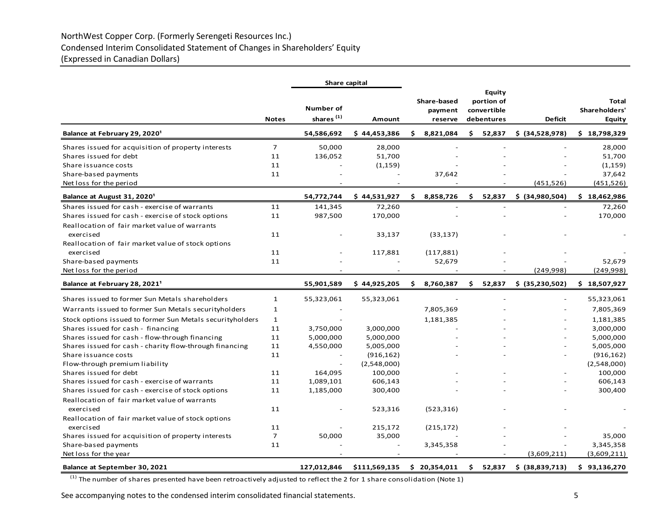# NorthWest Copper Corp. (Formerly Serengeti Resources Inc.) Condensed Interim Consolidated Statement of Changes in Shareholders' Equity (Expressed in Canadian Dollars)

|                                                            |                | Share capital                             |               |    |                                   |     |                                                          |                 |                                         |
|------------------------------------------------------------|----------------|-------------------------------------------|---------------|----|-----------------------------------|-----|----------------------------------------------------------|-----------------|-----------------------------------------|
|                                                            | <b>Notes</b>   | <b>Number of</b><br>shares <sup>(1)</sup> | Amount        |    | Share-based<br>payment<br>reserve |     | <b>Equity</b><br>portion of<br>convertible<br>debentures | <b>Deficit</b>  | Total<br>Shareholders'<br><b>Equity</b> |
| Balance at February 29, 2020 <sup>1</sup>                  |                | 54,586,692                                | \$44,453,386  | Ś. | 8,821,084                         | \$  | 52,837                                                   | \$ (34,528,978) | \$18,798,329                            |
| Shares issued for acquisition of property interests        | $\overline{7}$ | 50,000                                    | 28,000        |    |                                   |     |                                                          |                 | 28,000                                  |
| Shares issued for debt                                     | 11             | 136,052                                   | 51,700        |    |                                   |     |                                                          |                 | 51,700                                  |
| Share issuance costs                                       | 11             |                                           | (1, 159)      |    |                                   |     |                                                          |                 | (1, 159)                                |
| Share-based payments                                       | 11             |                                           |               |    | 37,642                            |     |                                                          |                 | 37,642                                  |
| Net loss for the period                                    |                |                                           |               |    |                                   |     |                                                          | (451, 526)      | (451, 526)                              |
| Balance at August 31, 2020 <sup>1</sup>                    |                | 54,772,744                                | \$44,531,927  | Ś. | 8,858,726                         | s.  | 52,837                                                   | \$ (34,980,504) | \$18,462,986                            |
| Shares issued for cash - exercise of warrants              | 11             | 141,345                                   | 72,260        |    |                                   |     |                                                          |                 | 72,260                                  |
| Shares issued for cash - exercise of stock options         | 11             | 987,500                                   | 170,000       |    |                                   |     |                                                          |                 | 170,000                                 |
| Reallocation of fair market value of warrants              |                |                                           |               |    |                                   |     |                                                          |                 |                                         |
| exercised                                                  | 11             |                                           | 33,137        |    | (33, 137)                         |     |                                                          |                 |                                         |
| Reallocation of fair market value of stock options         |                |                                           |               |    |                                   |     |                                                          |                 |                                         |
| exercised                                                  | 11             |                                           | 117,881       |    | (117, 881)                        |     |                                                          |                 |                                         |
| Share-based payments                                       | 11             |                                           |               |    | 52,679                            |     |                                                          |                 | 52,679                                  |
| Net loss for the period                                    |                |                                           |               |    |                                   |     |                                                          | (249, 998)      | (249,998)                               |
| Balance at February 28, 2021 <sup>1</sup>                  |                | 55,901,589                                | \$44,925,205  | Ś. | 8,760,387                         | Ŝ.  | 52,837                                                   | \$ (35,230,502) | \$18,507,927                            |
| Shares issued to former Sun Metals shareholders            | $\mathbf{1}$   | 55,323,061                                | 55,323,061    |    |                                   |     |                                                          |                 | 55,323,061                              |
| Warrants issued to former Sun Metals securityholders       | $\mathbf{1}$   |                                           |               |    | 7,805,369                         |     |                                                          |                 | 7,805,369                               |
| Stock options issued to former Sun Metals securityholders  | $\mathbf{1}$   |                                           |               |    | 1,181,385                         |     |                                                          |                 | 1,181,385                               |
| Shares issued for cash - financing                         | 11             | 3,750,000                                 | 3,000,000     |    |                                   |     |                                                          |                 | 3,000,000                               |
| Shares issued for cash - flow-through financing            | 11             | 5,000,000                                 | 5,000,000     |    |                                   |     |                                                          |                 | 5,000,000                               |
| Shares issued for cash - charity flow-through financing    | 11             | 4,550,000                                 | 5,005,000     |    |                                   |     |                                                          |                 | 5,005,000                               |
| Share issuance costs                                       | 11             |                                           | (916, 162)    |    |                                   |     |                                                          |                 | (916, 162)                              |
| Flow-through premium liability                             |                |                                           | (2,548,000)   |    |                                   |     |                                                          |                 | (2,548,000)                             |
| Shares issued for debt                                     | 11             | 164,095                                   | 100,000       |    |                                   |     |                                                          |                 | 100,000                                 |
| Shares issued for cash - exercise of warrants              | 11             | 1,089,101                                 | 606,143       |    |                                   |     |                                                          |                 | 606,143                                 |
| Shares issued for cash - exercise of stock options         | 11             | 1,185,000                                 | 300,400       |    |                                   |     |                                                          |                 | 300,400                                 |
| Reallocation of fair market value of warrants<br>exercised | 11             |                                           | 523,316       |    | (523, 316)                        |     |                                                          |                 |                                         |
| Reallocation of fair market value of stock options         |                |                                           |               |    |                                   |     |                                                          |                 |                                         |
| exercised                                                  | 11             |                                           | 215,172       |    | (215, 172)                        |     |                                                          |                 |                                         |
| Shares issued for acquisition of property interests        | $\overline{7}$ | 50,000                                    | 35,000        |    |                                   |     |                                                          |                 | 35,000                                  |
| Share-based payments                                       | 11             |                                           | L,            |    | 3,345,358                         |     |                                                          |                 | 3,345,358                               |
| Net loss for the year                                      |                |                                           |               |    |                                   |     |                                                          | (3,609,211)     | (3,609,211)                             |
| Balance at September 30, 2021                              |                | 127,012,846                               | \$111,569,135 |    | \$20,354,011                      | \$. | 52,837                                                   | \$ (38,839,713) | \$93,136,270                            |

 $(1)$  The number of shares presented have been retroactively adjusted to reflect the 2 for 1 share consolidation (Note 1)

See accompanying notes to the condensed interim consolidated financial statements. 5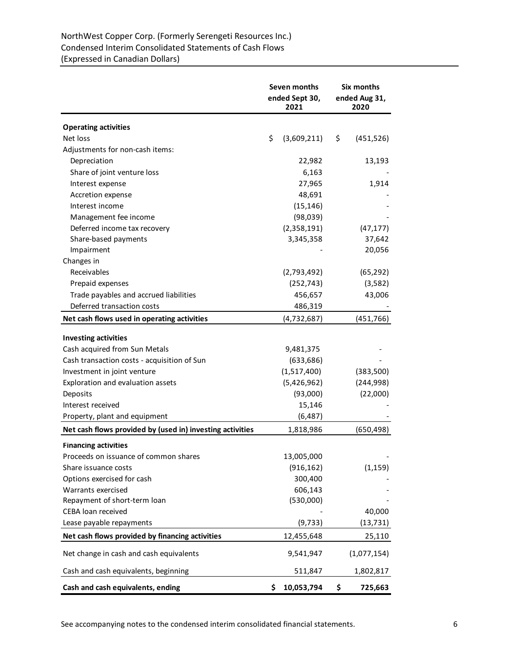# NorthWest Copper Corp. (Formerly Serengeti Resources Inc.) Condensed Interim Consolidated Statements of Cash Flows (Expressed in Canadian Dollars)

|                                                           | Seven months<br>ended Sept 30,<br>2021 | Six months<br>ended Aug 31,<br>2020 |
|-----------------------------------------------------------|----------------------------------------|-------------------------------------|
| <b>Operating activities</b>                               |                                        |                                     |
| Net loss                                                  | \$<br>(3,609,211)                      | \$<br>(451, 526)                    |
| Adjustments for non-cash items:                           |                                        |                                     |
| Depreciation                                              | 22,982                                 | 13,193                              |
| Share of joint venture loss                               | 6,163                                  |                                     |
| Interest expense                                          | 27,965                                 | 1,914                               |
| Accretion expense                                         | 48,691                                 |                                     |
| Interest income                                           | (15, 146)                              |                                     |
| Management fee income                                     | (98,039)                               |                                     |
| Deferred income tax recovery                              | (2,358,191)                            | (47, 177)                           |
| Share-based payments                                      | 3,345,358                              | 37,642                              |
| Impairment                                                |                                        | 20,056                              |
| Changes in                                                |                                        |                                     |
| Receivables                                               | (2,793,492)                            | (65, 292)                           |
| Prepaid expenses                                          | (252, 743)                             | (3,582)                             |
| Trade payables and accrued liabilities                    | 456,657                                | 43,006                              |
| Deferred transaction costs                                | 486,319                                |                                     |
| Net cash flows used in operating activities               | (4, 732, 687)                          | (451, 766)                          |
| <b>Investing activities</b>                               |                                        |                                     |
| Cash acquired from Sun Metals                             | 9,481,375                              |                                     |
| Cash transaction costs - acquisition of Sun               | (633, 686)                             |                                     |
| Investment in joint venture                               | (1,517,400)                            | (383,500)                           |
| Exploration and evaluation assets                         | (5,426,962)                            | (244, 998)                          |
| Deposits                                                  | (93,000)                               | (22,000)                            |
| Interest received                                         | 15,146                                 |                                     |
| Property, plant and equipment                             | (6, 487)                               |                                     |
| Net cash flows provided by (used in) investing activities | 1,818,986                              | (650, 498)                          |
| <b>Financing activities</b>                               |                                        |                                     |
| Proceeds on issuance of common shares                     | 13,005,000                             |                                     |
| Share issuance costs                                      | (916, 162)                             | (1, 159)                            |
| Options exercised for cash                                | 300,400                                |                                     |
| Warrants exercised                                        | 606,143                                |                                     |
| Repayment of short-term loan                              | (530,000)                              |                                     |
| CEBA loan received                                        |                                        | 40,000                              |
| Lease payable repayments                                  | (9, 733)                               | (13, 731)                           |
| Net cash flows provided by financing activities           | 12,455,648                             | 25,110                              |
| Net change in cash and cash equivalents                   | 9,541,947                              | (1,077,154)                         |
| Cash and cash equivalents, beginning                      | 511,847                                | 1,802,817                           |
| Cash and cash equivalents, ending                         | \$<br>10,053,794                       | \$<br>725,663                       |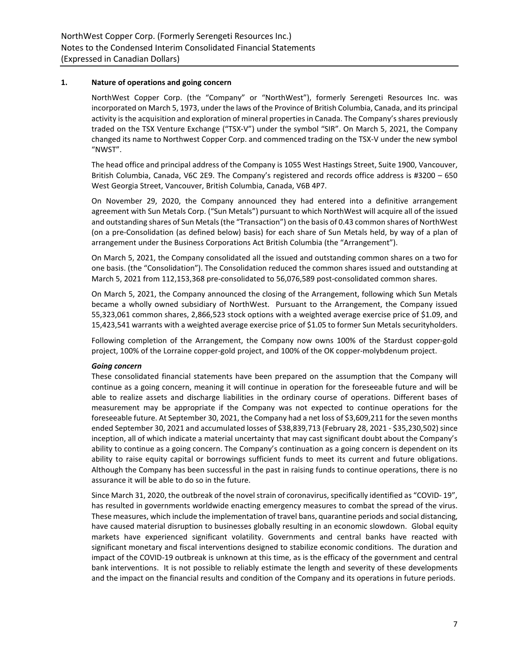# **1. Nature of operations and going concern**

NorthWest Copper Corp. (the "Company" or "NorthWest"), formerly Serengeti Resources Inc. was incorporated on March 5, 1973, under the laws of the Province of British Columbia, Canada, and its principal activity is the acquisition and exploration of mineral properties in Canada. The Company's shares previously traded on the TSX Venture Exchange ("TSX-V") under the symbol "SIR". On March 5, 2021, the Company changed its name to Northwest Copper Corp. and commenced trading on the TSX-V under the new symbol "NWST".

The head office and principal address of the Company is 1055 West Hastings Street, Suite 1900, Vancouver, British Columbia, Canada, V6C 2E9. The Company's registered and records office address is #3200 – 650 West Georgia Street, Vancouver, British Columbia, Canada, V6B 4P7.

On November 29, 2020, the Company announced they had entered into a definitive arrangement agreement with Sun Metals Corp. ("Sun Metals") pursuant to which NorthWest will acquire all of the issued and outstanding shares of Sun Metals (the "Transaction") on the basis of 0.43 common shares of NorthWest (on a pre-Consolidation (as defined below) basis) for each share of Sun Metals held, by way of a plan of arrangement under the Business Corporations Act British Columbia (the "Arrangement").

On March 5, 2021, the Company consolidated all the issued and outstanding common shares on a two for one basis. (the "Consolidation"). The Consolidation reduced the common shares issued and outstanding at March 5, 2021 from 112,153,368 pre-consolidated to 56,076,589 post-consolidated common shares.

On March 5, 2021, the Company announced the closing of the Arrangement, following which Sun Metals became a wholly owned subsidiary of NorthWest. Pursuant to the Arrangement, the Company issued 55,323,061 common shares, 2,866,523 stock options with a weighted average exercise price of \$1.09, and 15,423,541 warrants with a weighted average exercise price of \$1.05 to former Sun Metals securityholders.

Following completion of the Arrangement, the Company now owns 100% of the Stardust copper-gold project, 100% of the Lorraine copper-gold project, and 100% of the OK copper-molybdenum project.

#### *Going concern*

These consolidated financial statements have been prepared on the assumption that the Company will continue as a going concern, meaning it will continue in operation for the foreseeable future and will be able to realize assets and discharge liabilities in the ordinary course of operations. Different bases of measurement may be appropriate if the Company was not expected to continue operations for the foreseeable future. At September 30, 2021, the Company had a net loss of \$3,609,211 for the seven months ended September 30, 2021 and accumulated losses of \$38,839,713 (February 28, 2021 - \$35,230,502) since inception, all of which indicate a material uncertainty that may cast significant doubt about the Company's ability to continue as a going concern. The Company's continuation as a going concern is dependent on its ability to raise equity capital or borrowings sufficient funds to meet its current and future obligations. Although the Company has been successful in the past in raising funds to continue operations, there is no assurance it will be able to do so in the future.

Since March 31, 2020, the outbreak of the novel strain of coronavirus, specifically identified as "COVID- 19", has resulted in governments worldwide enacting emergency measures to combat the spread of the virus. These measures, which include the implementation of travel bans, quarantine periods and social distancing, have caused material disruption to businesses globally resulting in an economic slowdown. Global equity markets have experienced significant volatility. Governments and central banks have reacted with significant monetary and fiscal interventions designed to stabilize economic conditions. The duration and impact of the COVID-19 outbreak is unknown at this time, as is the efficacy of the government and central bank interventions. It is not possible to reliably estimate the length and severity of these developments and the impact on the financial results and condition of the Company and its operations in future periods.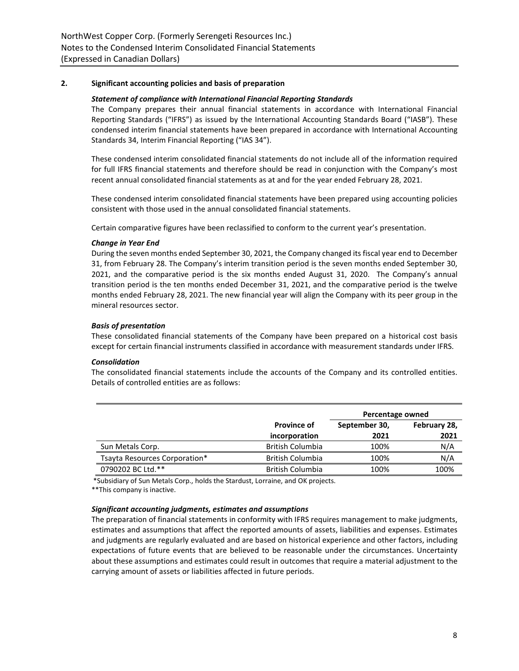# **2. Significant accounting policies and basis of preparation**

# *Statement of compliance with International Financial Reporting Standards*

The Company prepares their annual financial statements in accordance with International Financial Reporting Standards ("IFRS") as issued by the International Accounting Standards Board ("IASB"). These condensed interim financial statements have been prepared in accordance with International Accounting Standards 34, Interim Financial Reporting ("IAS 34").

These condensed interim consolidated financial statements do not include all of the information required for full IFRS financial statements and therefore should be read in conjunction with the Company's most recent annual consolidated financial statements as at and for the year ended February 28, 2021.

These condensed interim consolidated financial statements have been prepared using accounting policies consistent with those used in the annual consolidated financial statements.

Certain comparative figures have been reclassified to conform to the current year's presentation.

# *Change in Year End*

During the seven months ended September 30, 2021, the Company changed its fiscal year end to December 31, from February 28. The Company's interim transition period is the seven months ended September 30, 2021, and the comparative period is the six months ended August 31, 2020. The Company's annual transition period is the ten months ended December 31, 2021, and the comparative period is the twelve months ended February 28, 2021. The new financial year will align the Company with its peer group in the mineral resources sector.

# *Basis of presentation*

These consolidated financial statements of the Company have been prepared on a historical cost basis except for certain financial instruments classified in accordance with measurement standards under IFRS.

#### *Consolidation*

The consolidated financial statements include the accounts of the Company and its controlled entities. Details of controlled entities are as follows:

|                               |                                     | Percentage owned      |                      |
|-------------------------------|-------------------------------------|-----------------------|----------------------|
|                               | <b>Province of</b><br>incorporation | September 30,<br>2021 | February 28,<br>2021 |
| Sun Metals Corp.              | <b>British Columbia</b>             | 100%                  | N/A                  |
| Tsayta Resources Corporation* | <b>British Columbia</b>             | 100%                  | N/A                  |
| 0790202 BC Ltd.**             | <b>British Columbia</b>             | 100%                  | 100%                 |

\*Subsidiary of Sun Metals Corp., holds the Stardust, Lorraine, and OK projects.

\*\*This company is inactive.

# *Significant accounting judgments, estimates and assumptions*

The preparation of financial statements in conformity with IFRS requires management to make judgments, estimates and assumptions that affect the reported amounts of assets, liabilities and expenses. Estimates and judgments are regularly evaluated and are based on historical experience and other factors, including expectations of future events that are believed to be reasonable under the circumstances. Uncertainty about these assumptions and estimates could result in outcomes that require a material adjustment to the carrying amount of assets or liabilities affected in future periods.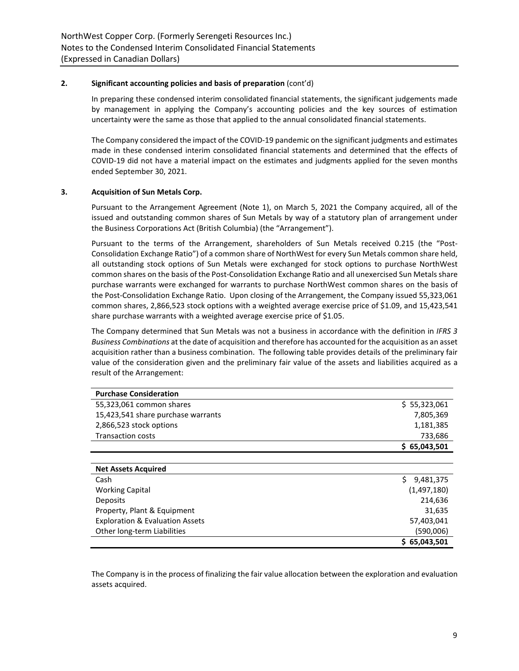# **2. Significant accounting policies and basis of preparation** (cont'd)

In preparing these condensed interim consolidated financial statements, the significant judgements made by management in applying the Company's accounting policies and the key sources of estimation uncertainty were the same as those that applied to the annual consolidated financial statements.

The Company considered the impact of the COVID-19 pandemic on the significant judgments and estimates made in these condensed interim consolidated financial statements and determined that the effects of COVID-19 did not have a material impact on the estimates and judgments applied for the seven months ended September 30, 2021.

# **3. Acquisition of Sun Metals Corp.**

Pursuant to the Arrangement Agreement (Note 1), on March 5, 2021 the Company acquired, all of the issued and outstanding common shares of Sun Metals by way of a statutory plan of arrangement under the Business Corporations Act (British Columbia) (the "Arrangement").

Pursuant to the terms of the Arrangement, shareholders of Sun Metals received 0.215 (the "Post-Consolidation Exchange Ratio") of a common share of NorthWest for every Sun Metals common share held, all outstanding stock options of Sun Metals were exchanged for stock options to purchase NorthWest common shares on the basis of the Post-Consolidation Exchange Ratio and all unexercised Sun Metals share purchase warrants were exchanged for warrants to purchase NorthWest common shares on the basis of the Post-Consolidation Exchange Ratio. Upon closing of the Arrangement, the Company issued 55,323,061 common shares, 2,866,523 stock options with a weighted average exercise price of \$1.09, and 15,423,541 share purchase warrants with a weighted average exercise price of \$1.05.

The Company determined that Sun Metals was not a business in accordance with the definition in *IFRS 3 Business Combinations* at the date of acquisition and therefore has accounted for the acquisition as an asset acquisition rather than a business combination. The following table provides details of the preliminary fair value of the consideration given and the preliminary fair value of the assets and liabilities acquired as a result of the Arrangement:

| <b>Purchase Consideration</b>              |                 |
|--------------------------------------------|-----------------|
| 55,323,061 common shares                   | \$5,323,061     |
| 15,423,541 share purchase warrants         | 7,805,369       |
| 2,866,523 stock options                    | 1,181,385       |
| <b>Transaction costs</b>                   | 733,686         |
|                                            | \$65,043,501    |
|                                            |                 |
| <b>Net Assets Acquired</b>                 |                 |
| Cash                                       | Ś.<br>9,481,375 |
| <b>Working Capital</b>                     | (1,497,180)     |
| Deposits                                   | 214,636         |
| Property, Plant & Equipment                | 31,635          |
| <b>Exploration &amp; Evaluation Assets</b> | 57,403,041      |
| Other long-term Liabilities                | (590,006)       |
|                                            | \$65,043,501    |

The Company is in the process of finalizing the fair value allocation between the exploration and evaluation assets acquired.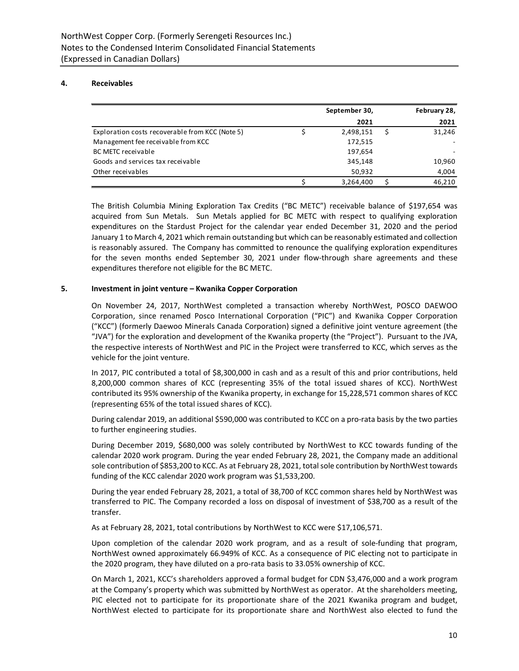# **4. Receivables**

|                                                 | September 30, | February 28, |
|-------------------------------------------------|---------------|--------------|
|                                                 | 2021          | 2021         |
| Exploration costs recoverable from KCC (Note 5) | 2,498,151     | 31,246       |
| Management fee receivable from KCC              | 172,515       |              |
| <b>BC METC receivable</b>                       | 197,654       |              |
| Goods and services tax receivable               | 345,148       | 10,960       |
| Other receivables                               | 50,932        | 4,004        |
|                                                 | 3,264,400     | 46,210       |

The British Columbia Mining Exploration Tax Credits ("BC METC") receivable balance of \$197,654 was acquired from Sun Metals. Sun Metals applied for BC METC with respect to qualifying exploration expenditures on the Stardust Project for the calendar year ended December 31, 2020 and the period January 1 to March 4, 2021 which remain outstanding but which can be reasonably estimated and collection is reasonably assured. The Company has committed to renounce the qualifying exploration expenditures for the seven months ended September 30, 2021 under flow-through share agreements and these expenditures therefore not eligible for the BC METC.

# **5. Investment in joint venture – Kwanika Copper Corporation**

On November 24, 2017, NorthWest completed a transaction whereby NorthWest, POSCO DAEWOO Corporation, since renamed Posco International Corporation ("PIC") and Kwanika Copper Corporation ("KCC") (formerly Daewoo Minerals Canada Corporation) signed a definitive joint venture agreement (the "JVA") for the exploration and development of the Kwanika property (the "Project"). Pursuant to the JVA, the respective interests of NorthWest and PIC in the Project were transferred to KCC, which serves as the vehicle for the joint venture.

In 2017, PIC contributed a total of \$8,300,000 in cash and as a result of this and prior contributions, held 8,200,000 common shares of KCC (representing 35% of the total issued shares of KCC). NorthWest contributed its 95% ownership of the Kwanika property, in exchange for 15,228,571 common shares of KCC (representing 65% of the total issued shares of KCC).

During calendar 2019, an additional \$590,000 was contributed to KCC on a pro-rata basis by the two parties to further engineering studies.

During December 2019, \$680,000 was solely contributed by NorthWest to KCC towards funding of the calendar 2020 work program. During the year ended February 28, 2021, the Company made an additional sole contribution of \$853,200 to KCC. As at February 28, 2021, total sole contribution by NorthWest towards funding of the KCC calendar 2020 work program was \$1,533,200.

During the year ended February 28, 2021, a total of 38,700 of KCC common shares held by NorthWest was transferred to PIC. The Company recorded a loss on disposal of investment of \$38,700 as a result of the transfer.

As at February 28, 2021, total contributions by NorthWest to KCC were \$17,106,571.

Upon completion of the calendar 2020 work program, and as a result of sole-funding that program, NorthWest owned approximately 66.949% of KCC. As a consequence of PIC electing not to participate in the 2020 program, they have diluted on a pro-rata basis to 33.05% ownership of KCC.

On March 1, 2021, KCC's shareholders approved a formal budget for CDN \$3,476,000 and a work program at the Company's property which was submitted by NorthWest as operator. At the shareholders meeting, PIC elected not to participate for its proportionate share of the 2021 Kwanika program and budget, NorthWest elected to participate for its proportionate share and NorthWest also elected to fund the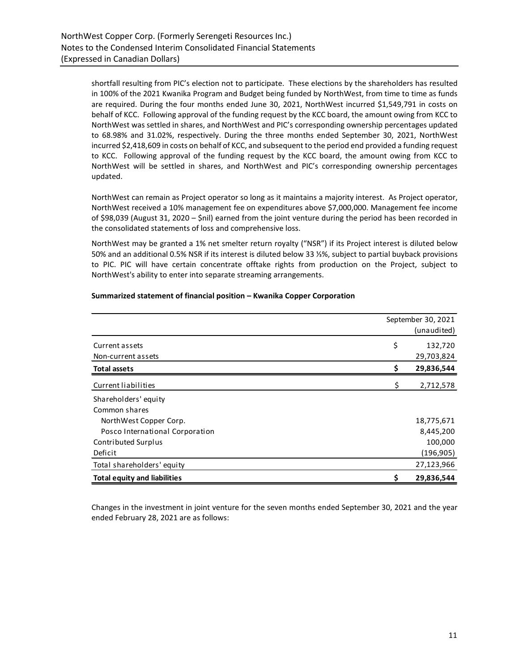shortfall resulting from PIC's election not to participate. These elections by the shareholders has resulted in 100% of the 2021 Kwanika Program and Budget being funded by NorthWest, from time to time as funds are required. During the four months ended June 30, 2021, NorthWest incurred \$1,549,791 in costs on behalf of KCC. Following approval of the funding request by the KCC board, the amount owing from KCC to NorthWest was settled in shares, and NorthWest and PIC's corresponding ownership percentages updated to 68.98% and 31.02%, respectively. During the three months ended September 30, 2021, NorthWest incurred \$2,418,609 in costs on behalf of KCC, and subsequent to the period end provided a funding request to KCC. Following approval of the funding request by the KCC board, the amount owing from KCC to NorthWest will be settled in shares, and NorthWest and PIC's corresponding ownership percentages updated.

NorthWest can remain as Project operator so long as it maintains a majority interest. As Project operator, NorthWest received a 10% management fee on expenditures above \$7,000,000. Management fee income of \$98,039 (August 31, 2020 – \$nil) earned from the joint venture during the period has been recorded in the consolidated statements of loss and comprehensive loss.

NorthWest may be granted a 1% net smelter return royalty ("NSR") if its Project interest is diluted below 50% and an additional 0.5% NSR if its interest is diluted below 33 ⅓%, subject to partial buyback provisions to PIC. PIC will have certain concentrate offtake rights from production on the Project, subject to NorthWest's ability to enter into separate streaming arrangements.

|                                     | September 30, 2021 |  |  |  |
|-------------------------------------|--------------------|--|--|--|
|                                     | (unaudited)        |  |  |  |
| Current assets                      | \$<br>132,720      |  |  |  |
| Non-current assets                  | 29,703,824         |  |  |  |
| <b>Total assets</b>                 | \$<br>29,836,544   |  |  |  |
| Current liabilities                 | \$<br>2,712,578    |  |  |  |
| Shareholders' equity                |                    |  |  |  |
| Common shares                       |                    |  |  |  |
| NorthWest Copper Corp.              | 18,775,671         |  |  |  |
| Posco International Corporation     | 8,445,200          |  |  |  |
| Contributed Surplus                 | 100,000            |  |  |  |
| Deficit                             | (196, 905)         |  |  |  |
| Total shareholders' equity          | 27,123,966         |  |  |  |
| <b>Total equity and liabilities</b> | \$<br>29,836,544   |  |  |  |

# **Summarized statement of financial position – Kwanika Copper Corporation**

Changes in the investment in joint venture for the seven months ended September 30, 2021 and the year ended February 28, 2021 are as follows: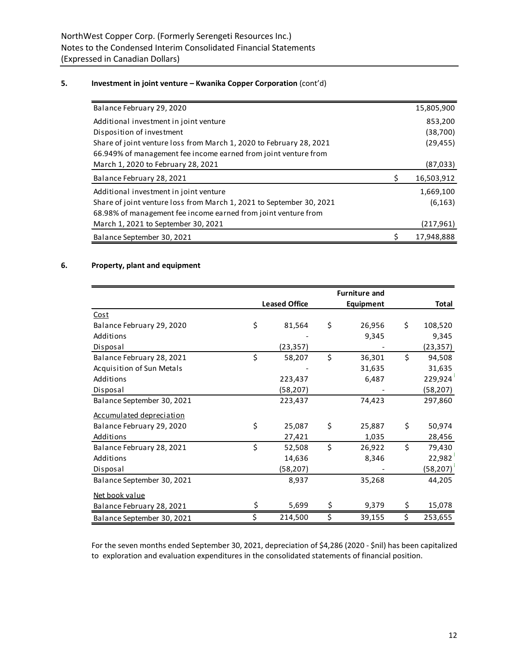# **5. Investment in joint venture – Kwanika Copper Corporation** (cont'd)

| Balance February 29, 2020                                            | 15,805,900       |
|----------------------------------------------------------------------|------------------|
| Additional investment in joint venture                               | 853,200          |
| Disposition of investment                                            | (38,700)         |
| Share of joint venture loss from March 1, 2020 to February 28, 2021  | (29, 455)        |
| 66.949% of management fee income earned from joint venture from      |                  |
| March 1, 2020 to February 28, 2021                                   | (87,033)         |
| Balance February 28, 2021                                            | \$<br>16,503,912 |
| Additional investment in joint venture                               | 1,669,100        |
| Share of joint venture loss from March 1, 2021 to September 30, 2021 | (6, 163)         |
| 68.98% of management fee income earned from joint venture from       |                  |
| March 1, 2021 to September 30, 2021                                  | (217, 961)       |
| Balance September 30, 2021                                           | \$<br>17,948,888 |

# **6. Property, plant and equipment**

|                                 | <b>Leased Office</b> | <b>Equipment</b> |    | Total     |
|---------------------------------|----------------------|------------------|----|-----------|
| Cost                            |                      |                  |    |           |
| Balance February 29, 2020       | \$<br>81,564         | \$<br>26,956     | \$ | 108,520   |
| Additions                       |                      | 9,345            |    | 9,345     |
| Disposal                        | (23, 357)            |                  |    | (23, 357) |
| Balance February 28, 2021       | \$<br>58,207         | \$<br>36,301     | \$ | 94,508    |
| Acquisition of Sun Metals       |                      | 31,635           |    | 31,635    |
| Additions                       | 223,437              | 6,487            |    | 229,924   |
| Disposal                        | (58,207)             |                  |    | (58, 207) |
| Balance September 30, 2021      | 223,437              | 74,423           |    | 297,860   |
| <b>Accumulated depreciation</b> |                      |                  |    |           |
| Balance February 29, 2020       | \$<br>25,087         | \$<br>25,887     | Ś  | 50,974    |
| Additions                       | 27,421               | 1,035            |    | 28,456    |
| Balance February 28, 2021       | \$<br>52,508         | \$<br>26,922     | \$ | 79,430    |
| Additions                       | 14,636               | 8,346            |    | 22,982    |
| Disposal                        | (58, 207)            |                  |    | (58, 207) |
| Balance September 30, 2021      | 8,937                | 35,268           |    | 44,205    |
| Net book value                  |                      |                  |    |           |
| Balance February 28, 2021       | \$<br>5,699          | \$<br>9,379      | \$ | 15,078    |
| Balance September 30, 2021      | \$<br>214,500        | \$<br>39,155     | \$ | 253,655   |

For the seven months ended September 30, 2021, depreciation of \$4,286 (2020 - \$nil) has been capitalized to exploration and evaluation expenditures in the consolidated statements of financial position.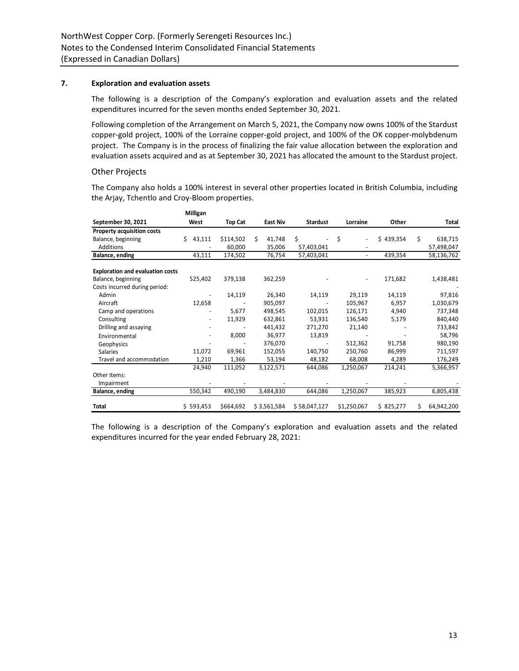# **7. Exploration and evaluation assets**

The following is a description of the Company's exploration and evaluation assets and the related expenditures incurred for the seven months ended September 30, 2021.

Following completion of the Arrangement on March 5, 2021, the Company now owns 100% of the Stardust copper-gold project, 100% of the Lorraine copper-gold project, and 100% of the OK copper-molybdenum project. The Company is in the process of finalizing the fair value allocation between the exploration and evaluation assets acquired and as at September 30, 2021 has allocated the amount to the Stardust project.

# Other Projects

The Company also holds a 100% interest in several other properties located in British Columbia, including the Arjay, Tchentlo and Croy-Bloom properties.

|                                         | Milligan     |                |   |                 |                 |                |           |    |            |
|-----------------------------------------|--------------|----------------|---|-----------------|-----------------|----------------|-----------|----|------------|
| September 30, 2021                      | West         | <b>Top Cat</b> |   | <b>East Niv</b> | <b>Stardust</b> | Lorraine       | Other     |    | Total      |
| Property acquisition costs              |              |                |   |                 |                 |                |           |    |            |
| Balance, beginning                      | 43,111<br>Ś. | \$114,502      | Ś | 41,748          | \$              | \$             | \$439,354 | \$ | 638,715    |
| Additions                               |              | 60,000         |   | 35,006          | 57,403,041      |                |           |    | 57,498,047 |
| Balance, ending                         | 43,111       | 174,502        |   | 76,754          | 57,403,041      | $\blacksquare$ | 439,354   |    | 58,136,762 |
| <b>Exploration and evaluation costs</b> |              |                |   |                 |                 |                |           |    |            |
| Balance, beginning                      | 525,402      | 379,138        |   | 362,259         |                 |                | 171,682   |    | 1,438,481  |
| Costs incurred during period:           |              |                |   |                 |                 |                |           |    |            |
| Admin                                   |              | 14,119         |   | 26,340          | 14,119          | 29,119         | 14,119    |    | 97,816     |
| Aircraft                                | 12,658       |                |   | 905,097         |                 | 105,967        | 6,957     |    | 1,030,679  |
| Camp and operations                     |              | 5,677          |   | 498,545         | 102,015         | 126,171        | 4,940     |    | 737,348    |
| Consulting                              |              | 11,929         |   | 632,861         | 53,931          | 136,540        | 5,179     |    | 840,440    |
| Drilling and assaying                   |              |                |   | 441,432         | 271,270         | 21,140         |           |    | 733,842    |
| Environmental                           |              | 8,000          |   | 36,977          | 13,819          |                |           |    | 58,796     |
| Geophysics                              |              |                |   | 376,070         |                 | 512,362        | 91,758    |    | 980,190    |
| <b>Salaries</b>                         | 11,072       | 69,961         |   | 152,055         | 140,750         | 250,760        | 86,999    |    | 711,597    |
| Travel and accommodation                | 1,210        | 1,366          |   | 53,194          | 48,182          | 68,008         | 4,289     |    | 176,249    |
|                                         | 24,940       | 111,052        |   | 3,122,571       | 644,086         | 1,250,067      | 214,241   |    | 5,366,957  |
| Other Items:                            |              |                |   |                 |                 |                |           |    |            |
| Impairment                              |              |                |   |                 |                 |                |           |    |            |
| Balance, ending                         | 550,342      | 490,190        |   | 3,484,830       | 644,086         | 1,250,067      | 385,923   |    | 6,805,438  |
| Total                                   | \$593,453    | \$664,692      |   | \$3,561,584     | \$58,047,127    | \$1,250,067    | \$825,277 | Ś. | 64,942,200 |
|                                         |              |                |   |                 |                 |                |           |    |            |

The following is a description of the Company's exploration and evaluation assets and the related expenditures incurred for the year ended February 28, 2021: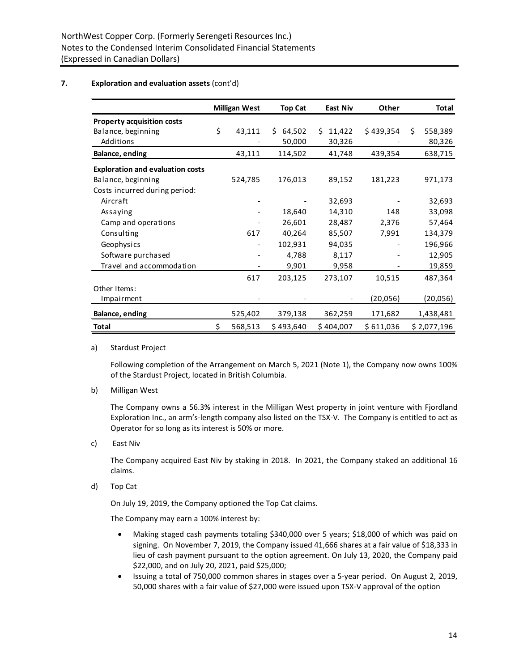# **7. Exploration and evaluation assets** (cont'd)

|                                         | <b>Milligan West</b>         | <b>Top Cat</b> | <b>East Niv</b> | Other     | Total         |
|-----------------------------------------|------------------------------|----------------|-----------------|-----------|---------------|
| <b>Property acquisition costs</b>       |                              |                |                 |           |               |
| Balance, beginning                      | \$<br>43,111                 | 64,502<br>Ŝ.   | 11,422<br>Ś.    | \$439,354 | \$<br>558,389 |
| Additions                               |                              | 50,000         | 30,326          |           | 80,326        |
| Balance, ending                         | 43,111                       | 114,502        | 41,748          | 439,354   | 638,715       |
| <b>Exploration and evaluation costs</b> |                              |                |                 |           |               |
| Balance, beginning                      | 524,785                      | 176,013        | 89,152          | 181,223   | 971,173       |
| Costs incurred during period:           |                              |                |                 |           |               |
| Aircraft                                |                              |                | 32,693          |           | 32,693        |
| Assaying                                |                              | 18,640         | 14,310          | 148       | 33,098        |
| Camp and operations                     |                              | 26,601         | 28,487          | 2,376     | 57,464        |
| Consulting                              | 617                          | 40,264         | 85,507          | 7,991     | 134,379       |
| Geophysics                              | $\qquad \qquad \blacksquare$ | 102,931        | 94,035          |           | 196,966       |
| Software purchased                      |                              | 4,788          | 8,117           |           | 12,905        |
| Travel and accommodation                |                              | 9,901          | 9,958           |           | 19,859        |
|                                         | 617                          | 203,125        | 273,107         | 10,515    | 487,364       |
| Other Items:                            |                              |                |                 |           |               |
| Impairment                              |                              |                |                 | (20, 056) | (20,056)      |
| Balance, ending                         | 525,402                      | 379,138        | 362,259         | 171,682   | 1,438,481     |
| <b>Total</b>                            | \$<br>568,513                | \$493,640      | \$404,007       | \$611,036 | \$2,077,196   |

a) Stardust Project

Following completion of the Arrangement on March 5, 2021 (Note 1), the Company now owns 100% of the Stardust Project, located in British Columbia.

b) Milligan West

The Company owns a 56.3% interest in the Milligan West property in joint venture with Fjordland Exploration Inc., an arm's-length company also listed on the TSX-V. The Company is entitled to act as Operator for so long as its interest is 50% or more.

c) East Niv

The Company acquired East Niv by staking in 2018. In 2021, the Company staked an additional 16 claims.

d) Top Cat

On July 19, 2019, the Company optioned the Top Cat claims.

The Company may earn a 100% interest by:

- Making staged cash payments totaling \$340,000 over 5 years; \$18,000 of which was paid on signing. On November 7, 2019, the Company issued 41,666 shares at a fair value of \$18,333 in lieu of cash payment pursuant to the option agreement. On July 13, 2020, the Company paid \$22,000, and on July 20, 2021, paid \$25,000;
- Issuing a total of 750,000 common shares in stages over a 5-year period. On August 2, 2019, 50,000 shares with a fair value of \$27,000 were issued upon TSX-V approval of the option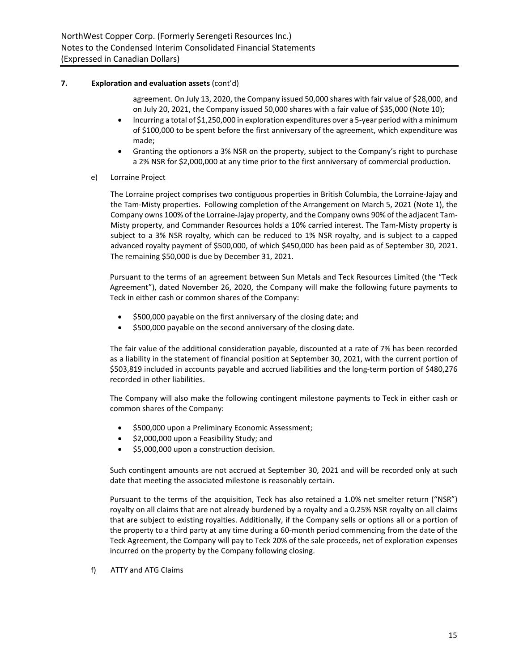# **7. Exploration and evaluation assets** (cont'd)

agreement. On July 13, 2020, the Company issued 50,000 shares with fair value of \$28,000, and on July 20, 2021, the Company issued 50,000 shares with a fair value of \$35,000 (Note 10);

- Incurring a total of \$1,250,000 in exploration expenditures over a 5-year period with a minimum of \$100,000 to be spent before the first anniversary of the agreement, which expenditure was made;
- Granting the optionors a 3% NSR on the property, subject to the Company's right to purchase a 2% NSR for \$2,000,000 at any time prior to the first anniversary of commercial production.
- e) Lorraine Project

The Lorraine project comprises two contiguous properties in British Columbia, the Lorraine-Jajay and the Tam-Misty properties. Following completion of the Arrangement on March 5, 2021 (Note 1), the Company owns 100% of the Lorraine-Jajay property, and the Company owns 90% of the adjacent Tam-Misty property, and Commander Resources holds a 10% carried interest. The Tam-Misty property is subject to a 3% NSR royalty, which can be reduced to 1% NSR royalty, and is subject to a capped advanced royalty payment of \$500,000, of which \$450,000 has been paid as of September 30, 2021. The remaining \$50,000 is due by December 31, 2021.

Pursuant to the terms of an agreement between Sun Metals and Teck Resources Limited (the "Teck Agreement"), dated November 26, 2020, the Company will make the following future payments to Teck in either cash or common shares of the Company:

- \$500,000 payable on the first anniversary of the closing date; and
- \$500,000 payable on the second anniversary of the closing date.

The fair value of the additional consideration payable, discounted at a rate of 7% has been recorded as a liability in the statement of financial position at September 30, 2021, with the current portion of \$503,819 included in accounts payable and accrued liabilities and the long-term portion of \$480,276 recorded in other liabilities.

The Company will also make the following contingent milestone payments to Teck in either cash or common shares of the Company:

- \$500,000 upon a Preliminary Economic Assessment;
- \$2,000,000 upon a Feasibility Study; and
- \$5,000,000 upon a construction decision.

Such contingent amounts are not accrued at September 30, 2021 and will be recorded only at such date that meeting the associated milestone is reasonably certain.

Pursuant to the terms of the acquisition, Teck has also retained a 1.0% net smelter return ("NSR") royalty on all claims that are not already burdened by a royalty and a 0.25% NSR royalty on all claims that are subject to existing royalties. Additionally, if the Company sells or options all or a portion of the property to a third party at any time during a 60-month period commencing from the date of the Teck Agreement, the Company will pay to Teck 20% of the sale proceeds, net of exploration expenses incurred on the property by the Company following closing.

f) ATTY and ATG Claims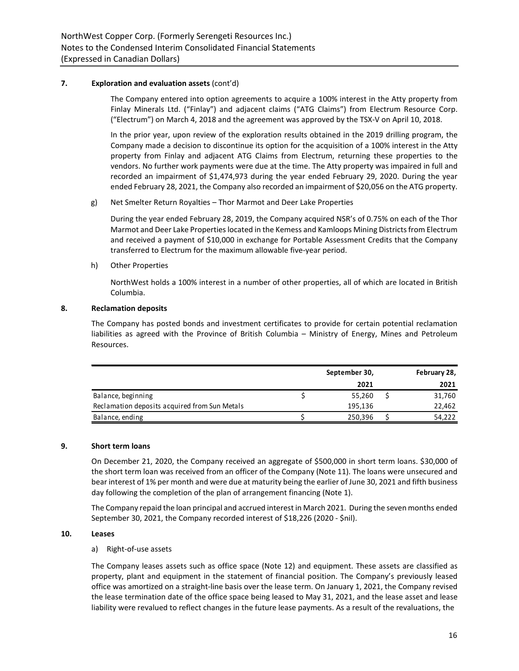# **7. Exploration and evaluation assets** (cont'd)

The Company entered into option agreements to acquire a 100% interest in the Atty property from Finlay Minerals Ltd. ("Finlay") and adjacent claims ("ATG Claims") from Electrum Resource Corp. ("Electrum") on March 4, 2018 and the agreement was approved by the TSX-V on April 10, 2018.

In the prior year, upon review of the exploration results obtained in the 2019 drilling program, the Company made a decision to discontinue its option for the acquisition of a 100% interest in the Atty property from Finlay and adjacent ATG Claims from Electrum, returning these properties to the vendors. No further work payments were due at the time. The Atty property was impaired in full and recorded an impairment of \$1,474,973 during the year ended February 29, 2020. During the year ended February 28, 2021, the Company also recorded an impairment of \$20,056 on the ATG property.

g) Net Smelter Return Royalties – Thor Marmot and Deer Lake Properties

During the year ended February 28, 2019, the Company acquired NSR's of 0.75% on each of the Thor Marmot and Deer Lake Properties located in the Kemess and Kamloops Mining Districts from Electrum and received a payment of \$10,000 in exchange for Portable Assessment Credits that the Company transferred to Electrum for the maximum allowable five-year period.

h) Other Properties

NorthWest holds a 100% interest in a number of other properties, all of which are located in British Columbia.

#### **8. Reclamation deposits**

The Company has posted bonds and investment certificates to provide for certain potential reclamation liabilities as agreed with the Province of British Columbia – Ministry of Energy, Mines and Petroleum Resources.

|                                               | September 30, |  | February 28, |
|-----------------------------------------------|---------------|--|--------------|
|                                               | 2021          |  | 2021         |
| Balance, beginning                            | 55,260        |  | 31,760       |
| Reclamation deposits acquired from Sun Metals | 195,136       |  | 22,462       |
| Balance, ending                               | 250,396       |  | 54,222       |
|                                               |               |  |              |

#### **9. Short term loans**

On December 21, 2020, the Company received an aggregate of \$500,000 in short term loans. \$30,000 of the short term loan was received from an officer of the Company (Note 11). The loans were unsecured and bear interest of 1% per month and were due at maturity being the earlier of June 30, 2021 and fifth business day following the completion of the plan of arrangement financing (Note 1).

The Company repaid the loan principal and accrued interest in March 2021. During the seven months ended September 30, 2021, the Company recorded interest of \$18,226 (2020 - \$nil).

# **10. Leases**

# a) Right-of-use assets

The Company leases assets such as office space (Note 12) and equipment. These assets are classified as property, plant and equipment in the statement of financial position. The Company's previously leased office was amortized on a straight-line basis over the lease term. On January 1, 2021, the Company revised the lease termination date of the office space being leased to May 31, 2021, and the lease asset and lease liability were revalued to reflect changes in the future lease payments. As a result of the revaluations, the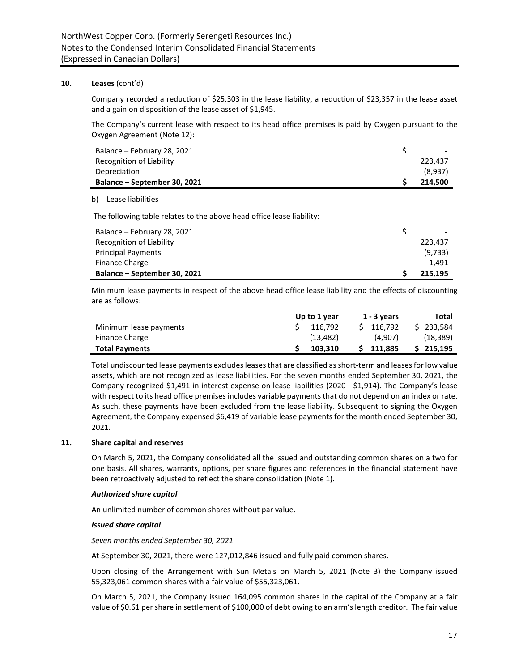# **10. Leases** (cont'd)

Company recorded a reduction of \$25,303 in the lease liability, a reduction of \$23,357 in the lease asset and a gain on disposition of the lease asset of \$1,945.

The Company's current lease with respect to its head office premises is paid by Oxygen pursuant to the Oxygen Agreement (Note 12):

| Balance – February 28, 2021  | -       |
|------------------------------|---------|
| Recognition of Liability     | 223.437 |
| Depreciation                 | (8,937) |
| Balance – September 30, 2021 | 214.500 |

#### b) Lease liabilities

The following table relates to the above head office lease liability:

| Balance - February 28, 2021  |         |
|------------------------------|---------|
| Recognition of Liability     | 223.437 |
| <b>Principal Payments</b>    | (9,733) |
| <b>Finance Charge</b>        | 1.491   |
| Balance – September 30, 2021 | 215.195 |

Minimum lease payments in respect of the above head office lease liability and the effects of discounting are as follows:

|                        | Up to 1 year | $1 - 3$ years | Total     |
|------------------------|--------------|---------------|-----------|
| Minimum lease payments | 116.792      | 116.792       | 233.584   |
| <b>Finance Charge</b>  | (13.482)     | (4.907)       | (18, 389) |
| <b>Total Payments</b>  | 103.310      | 111.885       | 215.195   |

Total undiscounted lease payments excludesleases that are classified as short-term and leases for low value assets, which are not recognized as lease liabilities. For the seven months ended September 30, 2021, the Company recognized \$1,491 in interest expense on lease liabilities (2020 - \$1,914). The Company's lease with respect to its head office premises includes variable payments that do not depend on an index or rate. As such, these payments have been excluded from the lease liability. Subsequent to signing the Oxygen Agreement, the Company expensed \$6,419 of variable lease payments for the month ended September 30, 2021.

# **11. Share capital and reserves**

On March 5, 2021, the Company consolidated all the issued and outstanding common shares on a two for one basis. All shares, warrants, options, per share figures and references in the financial statement have been retroactively adjusted to reflect the share consolidation (Note 1).

#### *Authorized share capital*

An unlimited number of common shares without par value.

#### *Issued share capital*

#### *Seven months ended September 30, 2021*

At September 30, 2021, there were 127,012,846 issued and fully paid common shares.

Upon closing of the Arrangement with Sun Metals on March 5, 2021 (Note 3) the Company issued 55,323,061 common shares with a fair value of \$55,323,061.

On March 5, 2021, the Company issued 164,095 common shares in the capital of the Company at a fair value of \$0.61 per share in settlement of \$100,000 of debt owing to an arm's length creditor. The fair value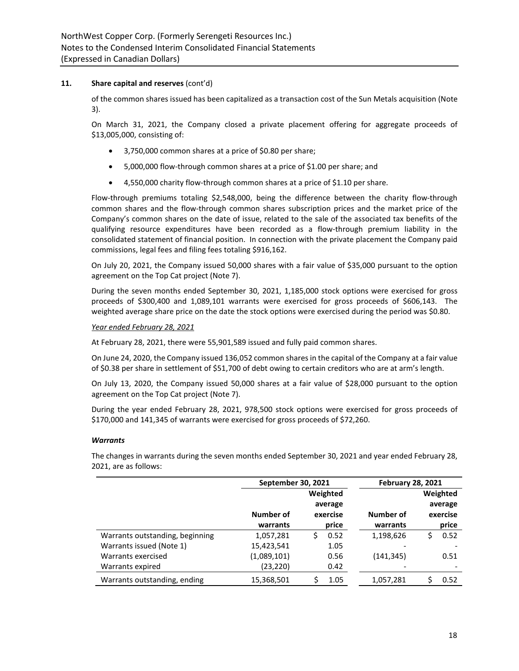of the common shares issued has been capitalized as a transaction cost of the Sun Metals acquisition (Note 3).

On March 31, 2021, the Company closed a private placement offering for aggregate proceeds of \$13,005,000, consisting of:

- 3,750,000 common shares at a price of \$0.80 per share;
- 5,000,000 flow-through common shares at a price of \$1.00 per share; and
- 4,550,000 charity flow-through common shares at a price of \$1.10 per share.

Flow-through premiums totaling \$2,548,000, being the difference between the charity flow-through common shares and the flow-through common shares subscription prices and the market price of the Company's common shares on the date of issue, related to the sale of the associated tax benefits of the qualifying resource expenditures have been recorded as a flow-through premium liability in the consolidated statement of financial position. In connection with the private placement the Company paid commissions, legal fees and filing fees totaling \$916,162.

On July 20, 2021, the Company issued 50,000 shares with a fair value of \$35,000 pursuant to the option agreement on the Top Cat project (Note 7).

During the seven months ended September 30, 2021, 1,185,000 stock options were exercised for gross proceeds of \$300,400 and 1,089,101 warrants were exercised for gross proceeds of \$606,143. The weighted average share price on the date the stock options were exercised during the period was \$0.80.

#### *Year ended February 28, 2021*

At February 28, 2021, there were 55,901,589 issued and fully paid common shares.

On June 24, 2020, the Company issued 136,052 common shares in the capital of the Company at a fair value of \$0.38 per share in settlement of \$51,700 of debt owing to certain creditors who are at arm's length.

On July 13, 2020, the Company issued 50,000 shares at a fair value of \$28,000 pursuant to the option agreement on the Top Cat project (Note 7).

During the year ended February 28, 2021, 978,500 stock options were exercised for gross proceeds of \$170,000 and 141,345 of warrants were exercised for gross proceeds of \$72,260.

#### *Warrants*

The changes in warrants during the seven months ended September 30, 2021 and year ended February 28, 2021, are as follows:

|                                 | <b>September 30, 2021</b> |           | <b>February 28, 2021</b> |           |
|---------------------------------|---------------------------|-----------|--------------------------|-----------|
|                                 |                           | Weighted  |                          | Weighted  |
|                                 |                           | average   |                          | average   |
|                                 | Number of                 | exercise  | Number of                | exercise  |
|                                 | warrants                  | price     | warrants                 | price     |
| Warrants outstanding, beginning | 1,057,281                 | 0.52<br>S | 1,198,626                | 0.52<br>S |
| Warrants issued (Note 1)        | 15,423,541                | 1.05      |                          |           |
| Warrants exercised              | (1,089,101)               | 0.56      | (141, 345)               | 0.51      |
| Warrants expired                | (23,220)                  | 0.42      |                          |           |
| Warrants outstanding, ending    | 15,368,501                | 1.05      | 1,057,281                | 0.52      |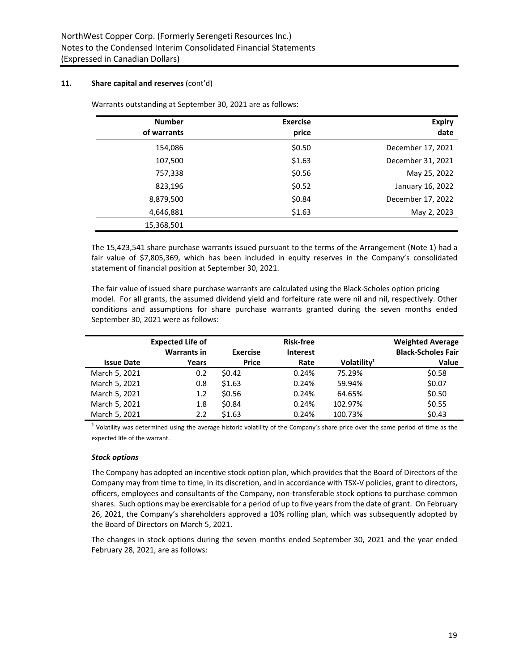| <b>Number</b><br>of warrants | <b>Exercise</b><br>price | <b>Expiry</b><br>date |
|------------------------------|--------------------------|-----------------------|
| 154,086                      | \$0.50                   | December 17, 2021     |
| 107,500                      | \$1.63                   | December 31, 2021     |
| 757,338                      | \$0.56                   | May 25, 2022          |
| 823,196                      | \$0.52                   | January 16, 2022      |
| 8,879,500                    | \$0.84                   | December 17, 2022     |
| 4,646,881                    | \$1.63                   | May 2, 2023           |
| 15,368,501                   |                          |                       |

Warrants outstanding at September 30, 2021 are as follows:

The 15,423,541 share purchase warrants issued pursuant to the terms of the Arrangement (Note 1) had a fair value of \$7,805,369, which has been included in equity reserves in the Company's consolidated statement of financial position at September 30, 2021.

The fair value of issued share purchase warrants are calculated using the Black-Scholes option pricing model. For all grants, the assumed dividend yield and forfeiture rate were nil and nil, respectively. Other conditions and assumptions for share purchase warrants granted during the seven months ended September 30, 2021 were as follows:

| <b>Issue Date</b> | <b>Expected Life of</b><br><b>Warrants in</b><br>Years | <b>Exercise</b><br><b>Price</b> | Risk-free<br><b>Interest</b><br>Rate | Volatility <sup>1</sup> | <b>Weighted Average</b><br><b>Black-Scholes Fair</b><br><b>Value</b> |
|-------------------|--------------------------------------------------------|---------------------------------|--------------------------------------|-------------------------|----------------------------------------------------------------------|
| March 5, 2021     | 0.2                                                    | \$0.42                          | 0.24%                                | 75.29%                  | \$0.58                                                               |
| March 5, 2021     | 0.8                                                    | \$1.63                          | 0.24%                                | 59.94%                  | \$0.07                                                               |
| March 5, 2021     | 1.2                                                    | \$0.56                          | 0.24%                                | 64.65%                  | \$0.50                                                               |
| March 5, 2021     | 1.8                                                    | \$0.84                          | 0.24%                                | 102.97%                 | \$0.55                                                               |
| March 5, 2021     | 2.2                                                    | \$1.63                          | 0.24%                                | 100.73%                 | \$0.43                                                               |

 $1$  Volatility was determined using the average historic volatility of the Company's share price over the same period of time as the expected life of the warrant.

# *Stock options*

The Company has adopted an incentive stock option plan, which provides that the Board of Directors of the Company may from time to time, in its discretion, and in accordance with TSX-V policies, grant to directors, officers, employees and consultants of the Company, non-transferable stock options to purchase common shares. Such options may be exercisable for a period of up to five years from the date of grant. On February 26, 2021, the Company's shareholders approved a 10% rolling plan, which was subsequently adopted by the Board of Directors on March 5, 2021.

The changes in stock options during the seven months ended September 30, 2021 and the year ended February 28, 2021, are as follows: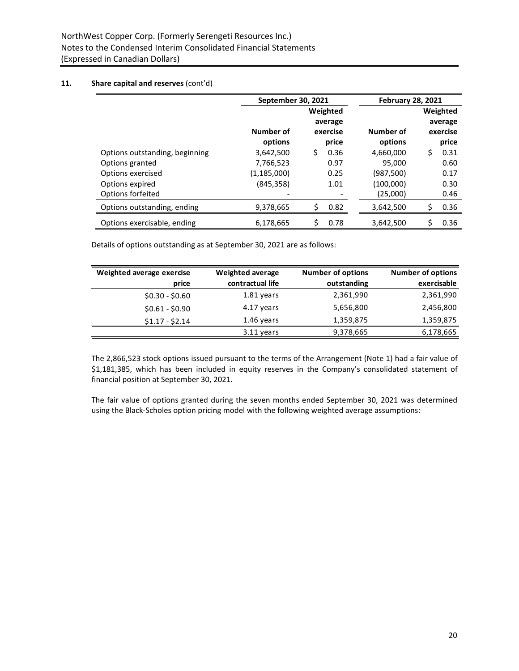|                                | September 30, 2021 |            | <b>February 28, 2021</b> |            |  |
|--------------------------------|--------------------|------------|--------------------------|------------|--|
|                                |                    | Weighted   |                          | Weighted   |  |
|                                |                    | average    |                          | average    |  |
|                                | Number of          | exercise   | Number of                | exercise   |  |
|                                | options            | price      | options                  | price      |  |
| Options outstanding, beginning | 3,642,500          | Ś<br>0.36  | 4,660,000                | \$<br>0.31 |  |
| Options granted                | 7,766,523          | 0.97       | 95.000                   | 0.60       |  |
| Options exercised              | (1, 185, 000)      | 0.25       | (987, 500)               | 0.17       |  |
| Options expired                | (845, 358)         | 1.01       | (100,000)                | 0.30       |  |
| Options forfeited              |                    |            | (25,000)                 | 0.46       |  |
| Options outstanding, ending    | 9,378,665          | \$<br>0.82 | 3,642,500                | \$<br>0.36 |  |
| Options exercisable, ending    | 6,178,665          | 0.78       | 3,642,500                | \$<br>0.36 |  |

Details of options outstanding as at September 30, 2021 are as follows:

| Weighted average exercise | <b>Weighted average</b> | <b>Number of options</b> | <b>Number of options</b> |
|---------------------------|-------------------------|--------------------------|--------------------------|
| price                     | contractual life        | outstanding              | exercisable              |
| $$0.30 - $0.60$           | 1.81 years              | 2,361,990                | 2,361,990                |
| $$0.61 - $0.90$           | 4.17 years              | 5,656,800                | 2,456,800                |
| $$1.17 - $2.14$           | 1.46 years              | 1,359,875                | 1,359,875                |
|                           | 3.11 years              | 9,378,665                | 6,178,665                |

The 2,866,523 stock options issued pursuant to the terms of the Arrangement (Note 1) had a fair value of \$1,181,385, which has been included in equity reserves in the Company's consolidated statement of financial position at September 30, 2021.

The fair value of options granted during the seven months ended September 30, 2021 was determined using the Black-Scholes option pricing model with the following weighted average assumptions: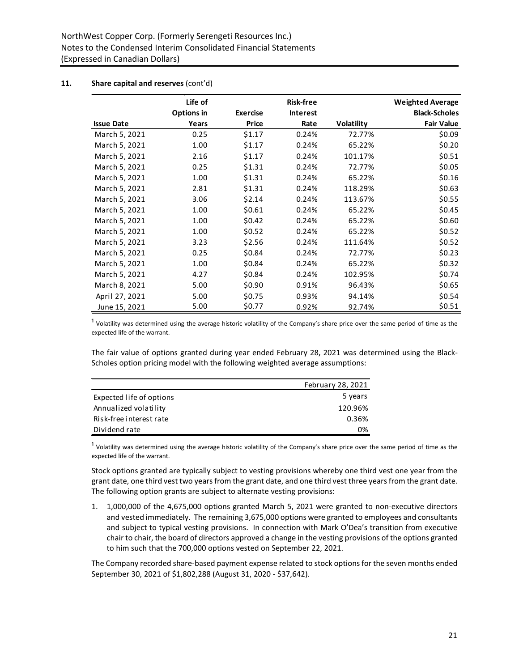|                   | Life of    |                 | <b>Risk-free</b> |            | <b>Weighted Average</b> |
|-------------------|------------|-----------------|------------------|------------|-------------------------|
|                   | Options in | <b>Exercise</b> | <b>Interest</b>  |            | <b>Black-Scholes</b>    |
| <b>Issue Date</b> | Years      | Price           | Rate             | Volatility | <b>Fair Value</b>       |
| March 5, 2021     | 0.25       | \$1.17          | 0.24%            | 72.77%     | \$0.09                  |
| March 5, 2021     | 1.00       | \$1.17          | 0.24%            | 65.22%     | \$0.20                  |
| March 5, 2021     | 2.16       | \$1.17          | 0.24%            | 101.17%    | \$0.51                  |
| March 5, 2021     | 0.25       | \$1.31          | 0.24%            | 72.77%     | \$0.05                  |
| March 5, 2021     | 1.00       | \$1.31          | 0.24%            | 65.22%     | \$0.16                  |
| March 5, 2021     | 2.81       | \$1.31          | 0.24%            | 118.29%    | \$0.63                  |
| March 5, 2021     | 3.06       | \$2.14          | 0.24%            | 113.67%    | \$0.55                  |
| March 5, 2021     | 1.00       | \$0.61          | 0.24%            | 65.22%     | \$0.45                  |
| March 5, 2021     | 1.00       | \$0.42          | 0.24%            | 65.22%     | \$0.60                  |
| March 5, 2021     | 1.00       | \$0.52          | 0.24%            | 65.22%     | \$0.52                  |
| March 5, 2021     | 3.23       | \$2.56          | 0.24%            | 111.64%    | \$0.52                  |
| March 5, 2021     | 0.25       | \$0.84          | 0.24%            | 72.77%     | \$0.23                  |
| March 5, 2021     | 1.00       | \$0.84          | 0.24%            | 65.22%     | \$0.32                  |
| March 5, 2021     | 4.27       | \$0.84          | 0.24%            | 102.95%    | \$0.74                  |
| March 8, 2021     | 5.00       | \$0.90          | 0.91%            | 96.43%     | \$0.65                  |
| April 27, 2021    | 5.00       | \$0.75          | 0.93%            | 94.14%     | \$0.54                  |
| June 15, 2021     | 5.00       | \$0.77          | 0.92%            | 92.74%     | \$0.51                  |

 $1$  Volatility was determined using the average historic volatility of the Company's share price over the same period of time as the expected life of the warrant.

The fair value of options granted during year ended February 28, 2021 was determined using the Black-Scholes option pricing model with the following weighted average assumptions:

|                          | February 28, 2021 |
|--------------------------|-------------------|
| Expected life of options | 5 years           |
| Annualized volatility    | 120.96%           |
| Risk-free interest rate  | 0.36%             |
| Dividend rate            | 0%                |

 $1$  Volatility was determined using the average historic volatility of the Company's share price over the same period of time as the expected life of the warrant.

Stock options granted are typically subject to vesting provisions whereby one third vest one year from the grant date, one third vest two years from the grant date, and one third vest three years from the grant date. The following option grants are subject to alternate vesting provisions:

1. 1,000,000 of the 4,675,000 options granted March 5, 2021 were granted to non-executive directors and vested immediately. The remaining 3,675,000 options were granted to employees and consultants and subject to typical vesting provisions. In connection with Mark O'Dea's transition from executive chair to chair, the board of directors approved a change in the vesting provisions of the options granted to him such that the 700,000 options vested on September 22, 2021.

The Company recorded share-based payment expense related to stock options for the seven months ended September 30, 2021 of \$1,802,288 (August 31, 2020 - \$37,642).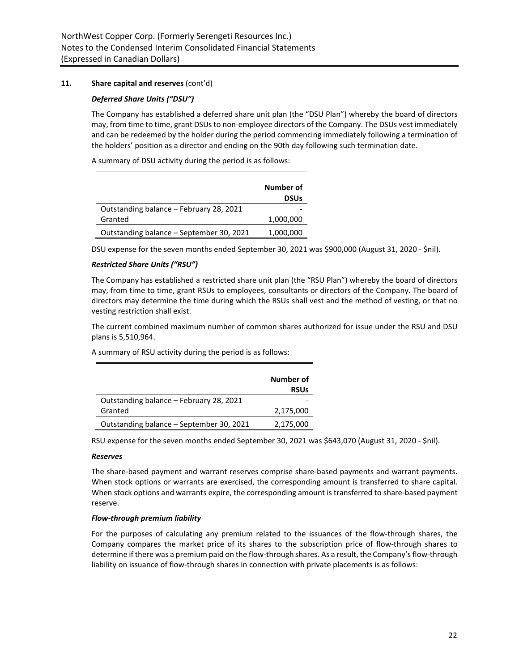# *Deferred Share Units ("DSU")*

The Company has established a deferred share unit plan (the "DSU Plan") whereby the board of directors may, from time to time, grant DSUs to non-employee directors of the Company. The DSUs vest immediately and can be redeemed by the holder during the period commencing immediately following a termination of the holders' position as a director and ending on the 90th day following such termination date.

A summary of DSU activity during the period is as follows:

|                                          | Number of<br><b>DSUs</b> |
|------------------------------------------|--------------------------|
| Outstanding balance – February 28, 2021  |                          |
| Granted                                  | 1,000,000                |
| Outstanding balance – September 30, 2021 | 1,000,000                |

DSU expense for the seven months ended September 30, 2021 was \$900,000 (August 31, 2020 - \$nil).

# *Restricted Share Units ("RSU")*

The Company has established a restricted share unit plan (the "RSU Plan") whereby the board of directors may, from time to time, grant RSUs to employees, consultants or directors of the Company. The board of directors may determine the time during which the RSUs shall vest and the method of vesting, or that no vesting restriction shall exist.

The current combined maximum number of common shares authorized for issue under the RSU and DSU plans is 5,510,964.

A summary of RSU activity during the period is as follows:

|                                          | Number of<br><b>RSUs</b> |
|------------------------------------------|--------------------------|
| Outstanding balance - February 28, 2021  |                          |
| Granted                                  | 2,175,000                |
| Outstanding balance – September 30, 2021 | 2,175,000                |

RSU expense for the seven months ended September 30, 2021 was \$643,070 (August 31, 2020 - \$nil).

# *Reserves*

The share-based payment and warrant reserves comprise share-based payments and warrant payments. When stock options or warrants are exercised, the corresponding amount is transferred to share capital. When stock options and warrants expire, the corresponding amount is transferred to share-based payment reserve.

#### *Flow-through premium liability*

For the purposes of calculating any premium related to the issuances of the flow-through shares, the Company compares the market price of its shares to the subscription price of flow-through shares to determine if there was a premium paid on the flow-through shares. As a result, the Company's flow-through liability on issuance of flow-through shares in connection with private placements is as follows: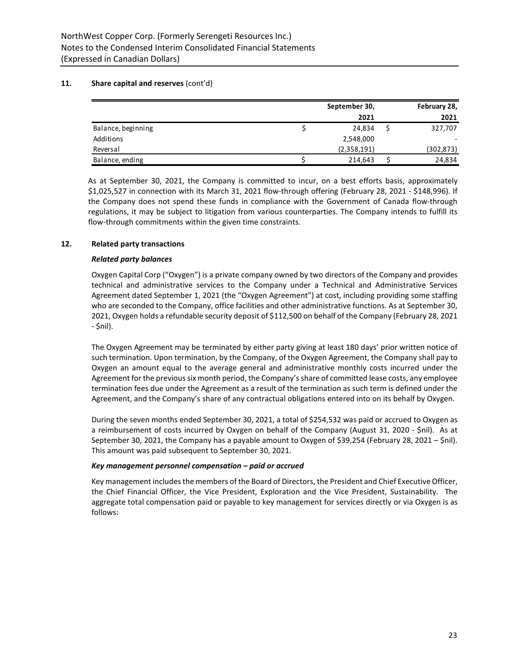|                    | September 30, | February 28, |            |
|--------------------|---------------|--------------|------------|
|                    | 2021          |              | 2021       |
| Balance, beginning | 24.834        |              | 327,707    |
| Additions          | 2,548,000     |              |            |
| Reversal           | (2,358,191)   |              | (302, 873) |
| Balance, ending    | 214,643       |              | 24,834     |

As at September 30, 2021, the Company is committed to incur, on a best efforts basis, approximately \$1,025,527 in connection with its March 31, 2021 flow-through offering (February 28, 2021 - \$148,996). If the Company does not spend these funds in compliance with the Government of Canada flow-through regulations, it may be subject to litigation from various counterparties. The Company intends to fulfill its flow-through commitments within the given time constraints.

# **12. Related party transactions**

# *Related party balances*

Oxygen Capital Corp ("Oxygen") is a private company owned by two directors of the Company and provides technical and administrative services to the Company under a Technical and Administrative Services Agreement dated September 1, 2021 (the "Oxygen Agreement") at cost, including providing some staffing who are seconded to the Company, office facilities and other administrative functions. As at September 30, 2021, Oxygen holds a refundable security deposit of \$112,500 on behalf of the Company (February 28, 2021 - \$nil).

The Oxygen Agreement may be terminated by either party giving at least 180 days' prior written notice of such termination. Upon termination, by the Company, of the Oxygen Agreement, the Company shall pay to Oxygen an amount equal to the average general and administrative monthly costs incurred under the Agreement for the previous six month period, the Company's share of committed lease costs, any employee termination fees due under the Agreement as a result of the termination as such term is defined under the Agreement, and the Company's share of any contractual obligations entered into on its behalf by Oxygen.

During the seven months ended September 30, 2021, a total of \$254,532 was paid or accrued to Oxygen as a reimbursement of costs incurred by Oxygen on behalf of the Company (August 31, 2020 - \$nil). As at September 30, 2021, the Company has a payable amount to Oxygen of \$39,254 (February 28, 2021 – \$nil). This amount was paid subsequent to September 30, 2021.

# *Key management personnel compensation – paid or accrued*

Key management includes the members of the Board of Directors, the President and Chief Executive Officer, the Chief Financial Officer, the Vice President, Exploration and the Vice President, Sustainability. The aggregate total compensation paid or payable to key management for services directly or via Oxygen is as follows: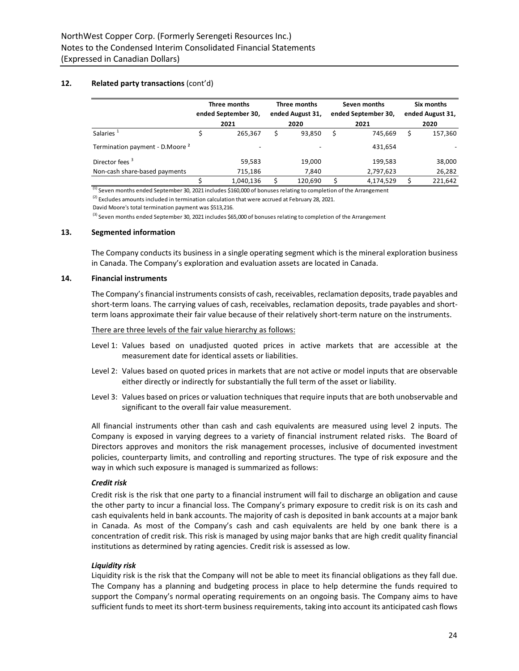# **12. Related party transactions** (cont'd)

|                                            |      | Three months<br>ended September 30, |      | Three months<br>ended August 31, |      | Seven months<br>ended September 30, |      | Six months<br>ended August 31, |
|--------------------------------------------|------|-------------------------------------|------|----------------------------------|------|-------------------------------------|------|--------------------------------|
|                                            | 2021 |                                     | 2020 |                                  | 2021 |                                     | 2020 |                                |
| Salaries <sup>1</sup>                      |      | 265.367                             |      | 93,850                           | Ś    | 745.669                             |      | 157,360                        |
| Termination payment - D.Moore <sup>2</sup> |      | $\overline{\phantom{a}}$            |      |                                  |      | 431,654                             |      |                                |
| Director fees <sup>3</sup>                 |      | 59,583                              |      | 19,000                           |      | 199,583                             |      | 38,000                         |
| Non-cash share-based payments              |      | 715,186                             |      | 7,840                            |      | 2,797,623                           |      | 26,282                         |
|                                            |      | 1,040,136                           |      | 120,690                          |      | 4,174,529                           |      | 221,642                        |

 $\frac{1}{13}$  Seven months ended September 30, 2021 includes \$160,000 of bonuses relating to completion of the Arrangement

<sup>(2)</sup> Excludes amounts included in termination calculation that were accrued at February 28, 2021.

David Moore's total termination payment was \$513,216.

<sup>(3)</sup> Seven months ended September 30, 2021 includes \$65,000 of bonuses relating to completion of the Arrangement

#### **13. Segmented information**

The Company conducts its business in a single operating segment which is the mineral exploration business in Canada. The Company's exploration and evaluation assets are located in Canada.

#### **14. Financial instruments**

The Company's financial instruments consists of cash, receivables, reclamation deposits, trade payables and short-term loans. The carrying values of cash, receivables, reclamation deposits, trade payables and shortterm loans approximate their fair value because of their relatively short-term nature on the instruments.

#### There are three levels of the fair value hierarchy as follows:

- Level 1: Values based on unadjusted quoted prices in active markets that are accessible at the measurement date for identical assets or liabilities.
- Level 2: Values based on quoted prices in markets that are not active or model inputs that are observable either directly or indirectly for substantially the full term of the asset or liability.
- Level 3: Values based on prices or valuation techniques that require inputs that are both unobservable and significant to the overall fair value measurement.

All financial instruments other than cash and cash equivalents are measured using level 2 inputs. The Company is exposed in varying degrees to a variety of financial instrument related risks. The Board of Directors approves and monitors the risk management processes, inclusive of documented investment policies, counterparty limits, and controlling and reporting structures. The type of risk exposure and the way in which such exposure is managed is summarized as follows:

#### *Credit risk*

Credit risk is the risk that one party to a financial instrument will fail to discharge an obligation and cause the other party to incur a financial loss. The Company's primary exposure to credit risk is on its cash and cash equivalents held in bank accounts. The majority of cash is deposited in bank accounts at a major bank in Canada. As most of the Company's cash and cash equivalents are held by one bank there is a concentration of credit risk. This risk is managed by using major banks that are high credit quality financial institutions as determined by rating agencies. Credit risk is assessed as low.

#### *Liquidity risk*

Liquidity risk is the risk that the Company will not be able to meet its financial obligations as they fall due. The Company has a planning and budgeting process in place to help determine the funds required to support the Company's normal operating requirements on an ongoing basis. The Company aims to have sufficient funds to meet its short-term business requirements, taking into account its anticipated cash flows